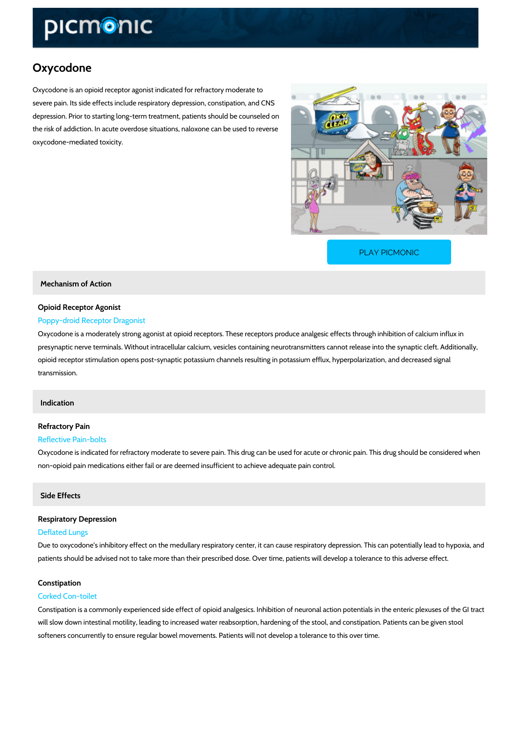# Oxycodone

Oxycodone is an opioid receptor agonist indicated for refractory moderate to severe pain. Its side effects include respiratory depression, constipation, and CNS depression. Prior to starting long-term treatment, patients should be counseled on the risk of addiction. In acute overdose situations, naloxone can be used to reverse oxycodone-mediated toxicity.

[PLAY PICMONIC](https://www.picmonic.com/learn/oxycodone_10354?utm_source=downloadable_content&utm_medium=distributedcontent&utm_campaign=pathways_pdf&utm_content=Oxycodone&utm_ad_group=leads&utm_market=all)

Mechanism of Action

### Opioid Receptor Agonist Poppy-droid Receptor Dragonist

Oxycodone is a moderately strong agonist at opioid receptors. These receptors produce analg presynaptic nerve terminals. Without intracellular calcium, vesicles containing neurotransmitt opioid receptor stimulation opens post-synaptic potassium channels resulting in potassium eff transmission.

### Indication

# Refractory Pain

## Reflective Pain-bolts

Oxycodone is indicated for refractory moderate to severe pain. This drug can be used for acut non-opioid pain medications either fail or are deemed insufficient to achieve adequate pain co

### Side Effects

# Respiratory Depression Deflated Lungs

Due to oxycodone s inhibitory effect on the medullary respiratory center, it can cause respira patients should be advised not to take more than their prescribed dose. Over time, patients w

# Constipation

# Corked Con-toilet

Constipation is a commonly experienced side effect of opioid analgesics. Inhibition of neurona will slow down intestinal motility, leading to increased water reabsorption, hardening of the s softeners concurrently to ensure regular bowel movements. Patients will not develop a tolerar